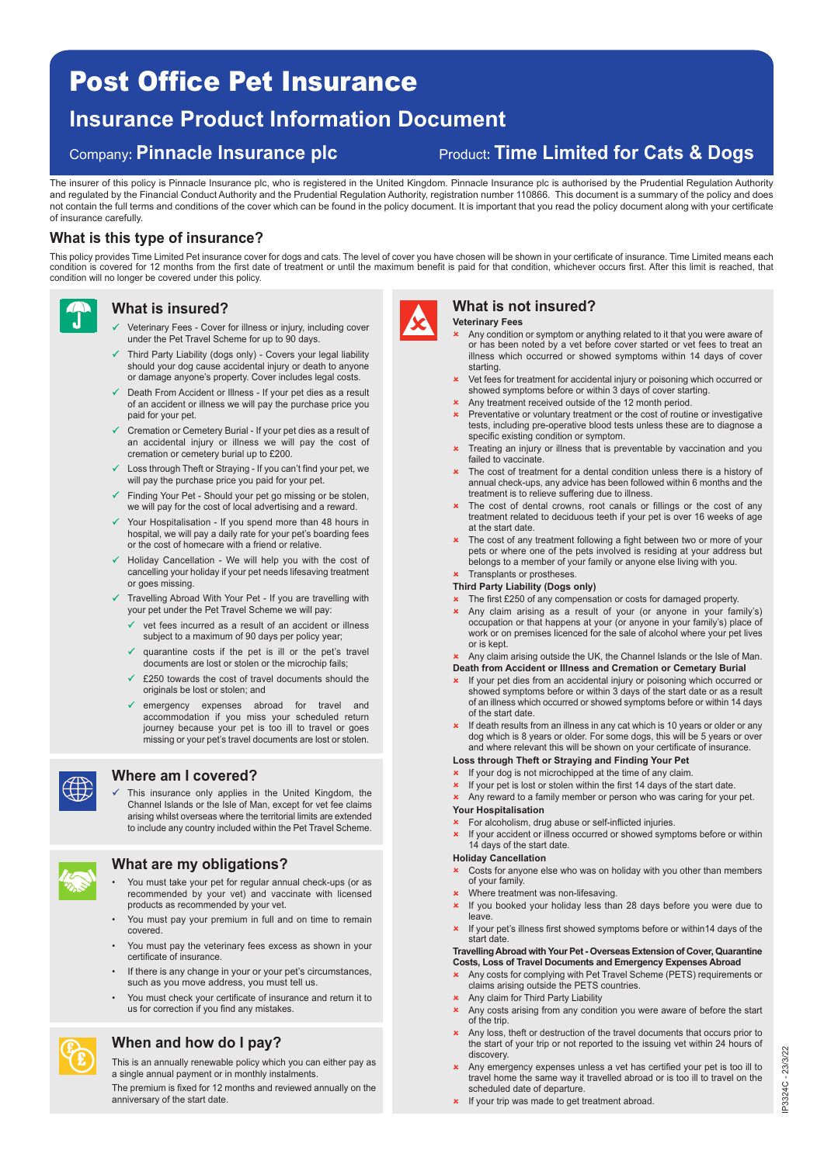# Post Office Pet Insurance

# **Insurance Product Information Document**

Company**: Pinnacle Insurance plc** Product**: Time Limited for Cats & Dogs**

The insurer of this policy is Pinnacle Insurance plc, who is registered in the United Kingdom. Pinnacle Insurance plc is authorised by the Prudential Regulation Authority and regulated by the Financial Conduct Authority and the Prudential Regulation Authority, registration number 110866. This document is a summary of the policy and does not contain the full terms and conditions of the cover which can be found in the policy document. It is important that you read the policy document along with your certificate of insurance carefully.

#### **What is this type of insurance?**

This policy provides Time Limited Pet insurance cover for dogs and cats. The level of cover you have chosen will be shown in your certificate of insurance. Time Limited means each condition is covered for 12 months from the first date of treatment or until the maximum benefit is paid for that condition, whichever occurs first. After this limit is reached, that condition will no longer be covered under this policy.



### **What is insured?**

- $\checkmark$  Veterinary Fees - Cover for illness or injury, including cover under the Pet Travel Scheme for up to 90 days.
- $\checkmark$  Third Party Liability (dogs only) - Covers your legal liability should your dog cause accidental injury or death to anyone or damage anyone's property. Cover includes legal costs.
- Death From Accident or Illness If your pet dies as a result of an accident or illness we will pay the purchase price you paid for your pet.
- Cremation or Cemetery Burial If your pet dies as a result of an accidental injury or illness we will pay the cost of cremation or cemetery burial up to £200.
- Loss through Theft or Straying If you can't find your pet, we will pay the purchase price you paid for your pet.
- Finding Your Pet Should your pet go missing or be stolen, we will pay for the cost of local advertising and a reward.
- $\checkmark$  Your Hospitalisation - If you spend more than 48 hours in hospital, we will pay a daily rate for your pet's boarding fees or the cost of homecare with a friend or relative.
- $\checkmark$  Holiday Cancellation - We will help you with the cost of cancelling your holiday if your pet needs lifesaving treatment or goes missing.
- $\checkmark$  Travelling Abroad With Your Pet - If you are travelling with your pet under the Pet Travel Scheme we will pay:
	- $\checkmark$  vet fees incurred as a result of an accident or illness subject to a maximum of 90 days per policy year;
	- $\checkmark$  quarantine costs if the pet is ill or the pet's travel documents are lost or stolen or the microchip fails;
	- $\checkmark$  £250 towards the cost of travel documents should the originals be lost or stolen; and
	- $\checkmark$  emergency expenses abroad for travel and accommodation if you miss your scheduled return journey because your pet is too ill to travel or goes missing or your pet's travel documents are lost or stolen.



#### **Where am I covered?**

 $\checkmark$  This insurance only applies in the United Kingdom, the Channel Islands or the Isle of Man, except for vet fee claims arising whilst overseas where the territorial limits are extended to include any country included within the Pet Travel Scheme.



£ £

#### **What are my obligations?**

- You must take your pet for regular annual check-ups (or as recommended by your vet) and vaccinate with licensed products as recommended by your vet.
- You must pay your premium in full and on time to remain covered.
- You must pay the veterinary fees excess as shown in your certificate of insurance.
- If there is any change in your or your pet's circumstances, such as you move address, you must tell us.
- You must check your certificate of insurance and return it to us for correction if you find any mistakes.

### **When and how do I pay?**

This is an annually renewable policy which you can either pay as a single annual payment or in monthly instalments.

The premium is fixed for 12 months and reviewed annually on the anniversary of the start date.



## **What is not insured?**

- **Veterinary Fees**  Any condition or symptom or anything related to it that you were aware of or has been noted by a vet before cover started or vet fees to treat an
- illness which occurred or showed symptoms within 14 days of cover starting. Vet fees for treatment for accidental injury or poisoning which occurred or
- showed symptoms before or within 3 days of cover starting.
- **x** Any treatment received outside of the 12 month period. **x** Preventative or voluntary treatment or the cost of routine or investigative tests, including pre-operative blood tests unless these are to diagnose a specific existing condition or symptom.
- **x** Treating an injury or illness that is preventable by vaccination and you failed to vaccinate.
- \* The cost of treatment for a dental condition unless there is a history of annual check-ups, any advice has been followed within 6 months and the treatment is to relieve suffering due to illness.
- The cost of dental crowns, root canals or fillings or the cost of any treatment related to deciduous teeth if your pet is over 16 weeks of age at the start date.
- The cost of any treatment following a fight between two or more of your pets or where one of the pets involved is residing at your address but belongs to a member of your family or anyone else living with you.
- Transplants or prostheses.

#### **Third Party Liability (Dogs only)**

- **\*** The first £250 of any compensation or costs for damaged property.
- Any claim arising as a result of your (or anyone in your family's) occupation or that happens at your (or anyone in your family's) place of work or on premises licenced for the sale of alcohol where your pet lives or is kept.
- **x** Any claim arising outside the UK, the Channel Islands or the Isle of Man.
- **Death from Accident or Illness and Cremation or Cemetary Burial**
- If your pet dies from an accidental injury or poisoning which occurred or showed symptoms before or within 3 days of the start date or as a result of an illness which occurred or showed symptoms before or within 14 days of the start date.
- If death results from an illness in any cat which is 10 years or older or any dog which is 8 years or older. For some dogs, this will be 5 years or over and where relevant this will be shown on your certificate of insurance.

#### **Loss through Theft or Straying and Finding Your Pet**

- **x** If your dog is not microchipped at the time of any claim.
- If your pet is lost or stolen within the first 14 days of the start date.
- Any reward to a family member or person who was caring for your pet. **Your Hospitalisation**

#### For alcoholism, drug abuse or self-inflicted injuries.

 If your accident or illness occurred or showed symptoms before or within 14 days of the start date.

#### **Holiday Cancellation**

- $\star$  Costs for anyone else who was on holiday with you other than members of your family.
- Where treatment was non-lifesaving.
- $\overline{\phantom{a}}$  If you booked your holiday less than 28 days before you were due to leave.
- If your pet's illness first showed symptoms before or within14 days of the start date.

#### **Travelling Abroad with Your Pet - Overseas Extension of Cover, Quarantine Costs, Loss of Travel Documents and Emergency Expenses Abroad**

- Any costs for complying with Pet Travel Scheme (PETS) requirements or claims arising outside the PETS countries.
- $\star$  Any claim for Third Party Liability
- Any costs arising from any condition you were aware of before the start of the trip.
- Any loss, theft or destruction of the travel documents that occurs prior to the start of your trip or not reported to the issuing vet within 24 hours of discovery.
- Any emergency expenses unless a vet has certified your pet is too ill to travel home the same way it travelled abroad or is too ill to travel on the scheduled date of departure.
- If your trip was made to get treatment abroad.